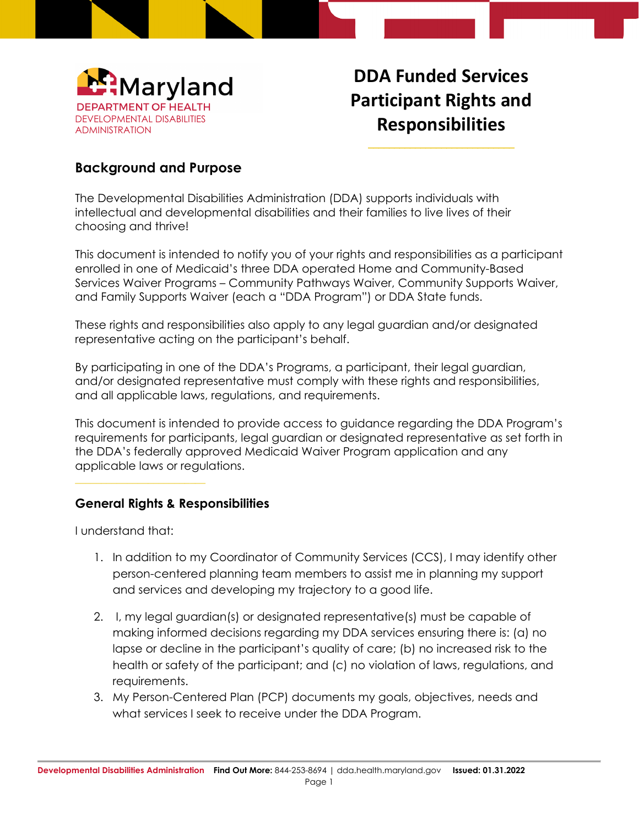

# **DDA Funded Services Participant Rights and Responsibilities** \_\_\_\_\_\_\_\_\_\_\_\_\_\_\_\_\_\_\_\_\_\_\_\_\_\_\_\_

## **Background and Purpose**

The Developmental Disabilities Administration (DDA) supports individuals with intellectual and developmental disabilities and their families to live lives of their choosing and thrive!

This document is intended to notify you of your rights and responsibilities as a participant enrolled in one of Medicaid's three DDA operated Home and Community-Based Services Waiver Programs – Community Pathways Waiver, Community Supports Waiver, and Family Supports Waiver (each a "DDA Program") or DDA State funds.

These rights and responsibilities also apply to any legal guardian and/or designated representative acting on the participant's behalf.

By participating in one of the DDA's Programs, a participant, their legal guardian, and/or designated representative must comply with these rights and responsibilities, and all applicable laws, regulations, and requirements.

This document is intended to provide access to guidance regarding the DDA Program's requirements for participants, legal guardian or designated representative as set forth in the DDA's federally approved Medicaid Waiver Program application and any applicable laws or regulations.

#### **General Rights & Responsibilities**

I understand that:

- 1. In addition to my Coordinator of Community Services (CCS), I may identify other person-centered planning team members to assist me in planning my support and services and developing my trajectory to a good life.
- 2. I, my legal guardian(s) or designated representative(s) must be capable of making informed decisions regarding my DDA services ensuring there is: (a) no lapse or decline in the participant's quality of care; (b) no increased risk to the health or safety of the participant; and (c) no violation of laws, regulations, and requirements.
- 3. My Person-Centered Plan (PCP) documents my goals, objectives, needs and what services I seek to receive under the DDA Program.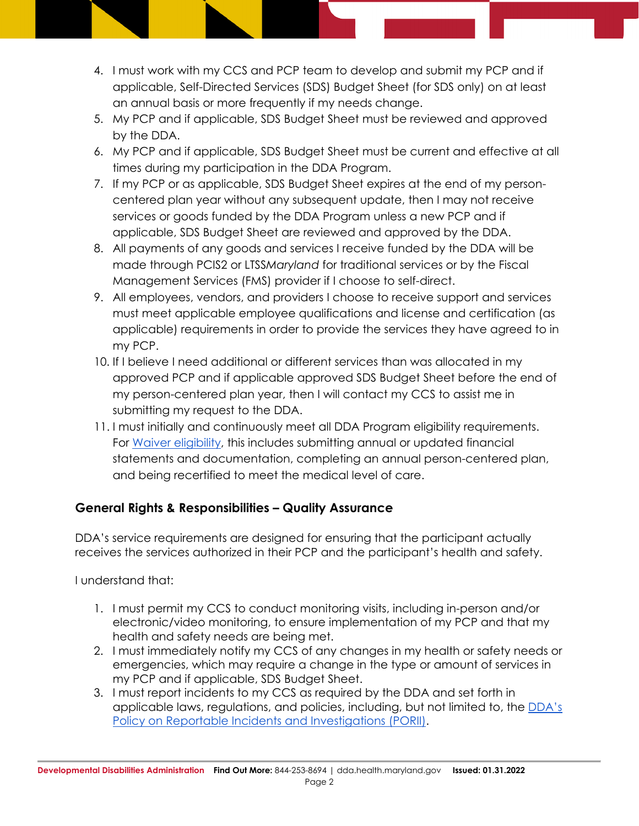- 4. I must work with my CCS and PCP team to develop and submit my PCP and if applicable, Self-Directed Services (SDS) Budget Sheet (for SDS only) on at least an annual basis or more frequently if my needs change.
- 5. My PCP and if applicable, SDS Budget Sheet must be reviewed and approved by the DDA.
- 6. My PCP and if applicable, SDS Budget Sheet must be current and effective at all times during my participation in the DDA Program.
- 7. If my PCP or as applicable, SDS Budget Sheet expires at the end of my personcentered plan year without any subsequent update, then I may not receive services or goods funded by the DDA Program unless a new PCP and if applicable, SDS Budget Sheet are reviewed and approved by the DDA.
- 8. All payments of any goods and services I receive funded by the DDA will be made through PCIS2 or LTSS*Maryland* for traditional services or by the Fiscal Management Services (FMS) provider if I choose to self-direct.
- 9. All employees, vendors, and providers I choose to receive support and services must meet applicable employee qualifications and license and certification (as applicable) requirements in order to provide the services they have agreed to in my PCP.
- 10. If I believe I need additional or different services than was allocated in my approved PCP and if applicable approved SDS Budget Sheet before the end of my person-centered plan year, then I will contact my CCS to assist me in submitting my request to the DDA.
- 11. I must initially and continuously meet all DDA Program eligibility requirements. For [Waiver eligibility,](https://dda.health.maryland.gov/Pages/DDA_Waiver_Application_Process.aspx) this includes submitting annual or updated financial statements and documentation, completing an annual person-centered plan, and being recertified to meet the medical level of care.

#### **General Rights & Responsibilities – Quality Assurance**

DDA's service requirements are designed for ensuring that the participant actually receives the services authorized in their PCP and the participant's health and safety.

I understand that:

- 1. I must permit my CCS to conduct monitoring visits, including in-person and/or electronic/video monitoring, to ensure implementation of my PCP and that my health and safety needs are being met.
- 2. I must immediately notify my CCS of any changes in my health or safety needs or emergencies, which may require a change in the type or amount of services in my PCP and if applicable, SDS Budget Sheet.
- 3. I must report incidents to my CCS as required by the DDA and set forth in applicable laws, regulations, and policies, including, but not limited to, the [DDA's](https://dda.health.maryland.gov/Pages/policies.aspx)  [Policy on Reportable Incidents and Investigations \(PORII\).](https://dda.health.maryland.gov/Pages/policies.aspx)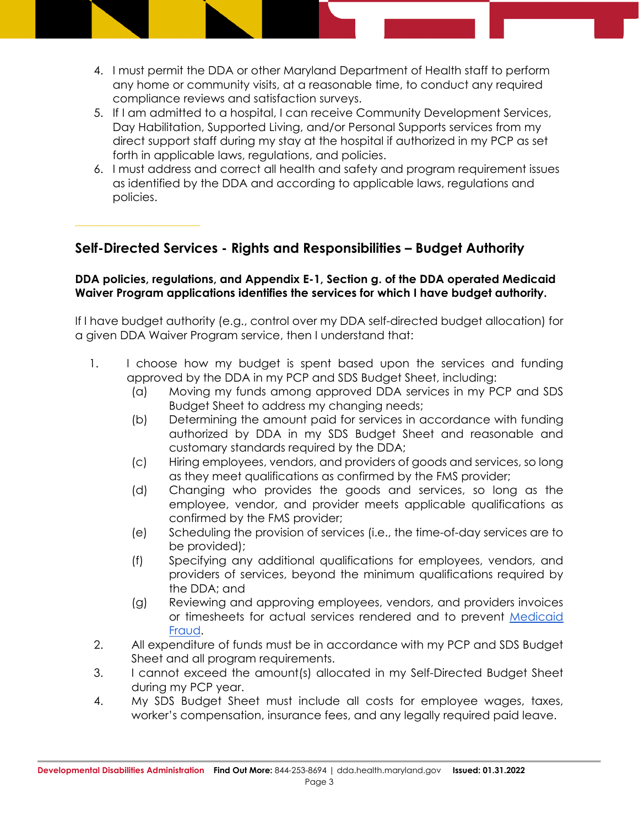- 4. I must permit the DDA or other Maryland Department of Health staff to perform any home or community visits, at a reasonable time, to conduct any required compliance reviews and satisfaction surveys.
- 5. If I am admitted to a hospital, I can receive Community Development Services, Day Habilitation, Supported Living, and/or Personal Supports services from my direct support staff during my stay at the hospital if authorized in my PCP as set forth in applicable laws, regulations, and policies.
- 6. I must address and correct all health and safety and program requirement issues as identified by the DDA and according to applicable laws, regulations and policies.

### **Self-Directed Services - Rights and Responsibilities – Budget Authority**

#### **DDA policies, regulations, and Appendix E-1, Section g. of the DDA operated Medicaid Waiver Program applications identifies the services for which I have budget authority.**

If I have budget authority (e.g., control over my DDA self-directed budget allocation) for a given DDA Waiver Program service, then I understand that:

- 1. I choose how my budget is spent based upon the services and funding approved by the DDA in my PCP and SDS Budget Sheet, including:
	- (a) Moving my funds among approved DDA services in my PCP and SDS Budget Sheet to address my changing needs;
	- (b) Determining the amount paid for services in accordance with funding authorized by DDA in my SDS Budget Sheet and reasonable and customary standards required by the DDA;
	- (c) Hiring employees, vendors, and providers of goods and services, so long as they meet qualifications as confirmed by the FMS provider;
	- (d) Changing who provides the goods and services, so long as the employee, vendor, and provider meets applicable qualifications as confirmed by the FMS provider;
	- (e) Scheduling the provision of services (i.e., the time-of-day services are to be provided);
	- (f) Specifying any additional qualifications for employees, vendors, and providers of services, beyond the minimum qualifications required by the DDA; and
	- (g) Reviewing and approving employees, vendors, and providers invoices or timesheets for actual services rendered and to prevent [Medicaid](https://dda.health.maryland.gov/Documents/Self-Directed%20Services%20Guidance,%20Forms,%20and,%20Webinars/DDA%20Self%20Directed%20Services%20Handbook%20Final%20Feb%2010%202021.pdf)  [Fraud.](https://dda.health.maryland.gov/Documents/Self-Directed%20Services%20Guidance,%20Forms,%20and,%20Webinars/DDA%20Self%20Directed%20Services%20Handbook%20Final%20Feb%2010%202021.pdf)
- 2. All expenditure of funds must be in accordance with my PCP and SDS Budget Sheet and all program requirements.
- 3. I cannot exceed the amount(s) allocated in my Self-Directed Budget Sheet during my PCP year.
- 4. My SDS Budget Sheet must include all costs for employee wages, taxes, worker's compensation, insurance fees, and any legally required paid leave.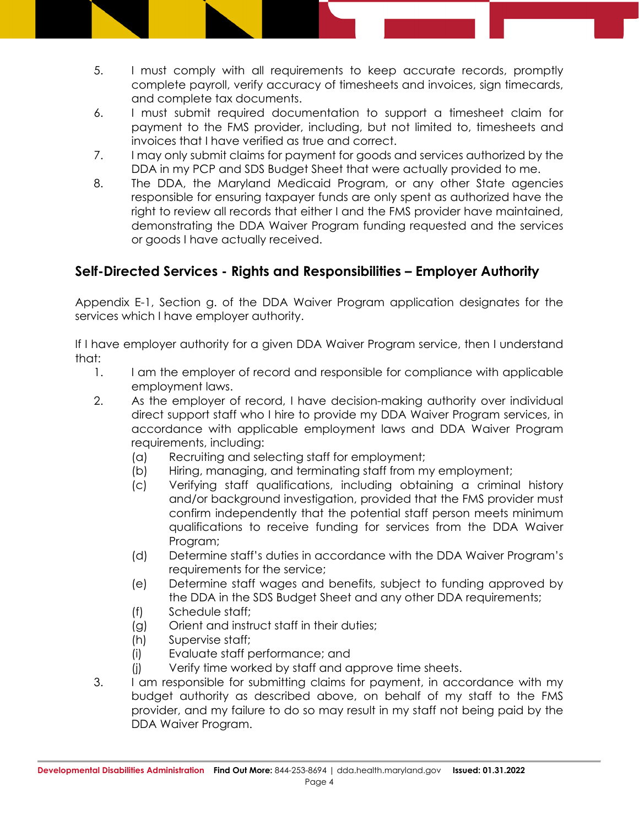- 5. I must comply with all requirements to keep accurate records, promptly complete payroll, verify accuracy of timesheets and invoices, sign timecards, and complete tax documents.
- 6. I must submit required documentation to support a timesheet claim for payment to the FMS provider, including, but not limited to, timesheets and invoices that I have verified as true and correct.
- 7. I may only submit claims for payment for goods and services authorized by the DDA in my PCP and SDS Budget Sheet that were actually provided to me.
- 8. The DDA, the Maryland Medicaid Program, or any other State agencies responsible for ensuring taxpayer funds are only spent as authorized have the right to review all records that either I and the FMS provider have maintained, demonstrating the DDA Waiver Program funding requested and the services or goods I have actually received.

## **Self-Directed Services - Rights and Responsibilities – Employer Authority**

Appendix E-1, Section g. of the DDA Waiver Program application designates for the services which I have employer authority.

If I have employer authority for a given DDA Waiver Program service, then I understand that:

- 1. I am the employer of record and responsible for compliance with applicable employment laws.
- 2. As the employer of record, I have decision-making authority over individual direct support staff who I hire to provide my DDA Waiver Program services, in accordance with applicable employment laws and DDA Waiver Program requirements, including:
	- (a) Recruiting and selecting staff for employment;
	- (b) Hiring, managing, and terminating staff from my employment;
	- (c) Verifying staff qualifications, including obtaining a criminal history and/or background investigation, provided that the FMS provider must confirm independently that the potential staff person meets minimum qualifications to receive funding for services from the DDA Waiver Program;
	- (d) Determine staff's duties in accordance with the DDA Waiver Program's requirements for the service;
	- (e) Determine staff wages and benefits, subject to funding approved by the DDA in the SDS Budget Sheet and any other DDA requirements;
	- (f) Schedule staff;
	- (g) Orient and instruct staff in their duties;
	- (h) Supervise staff;
	- (i) Evaluate staff performance; and
	- (j) Verify time worked by staff and approve time sheets.
- 3. I am responsible for submitting claims for payment, in accordance with my budget authority as described above, on behalf of my staff to the FMS provider, and my failure to do so may result in my staff not being paid by the DDA Waiver Program.